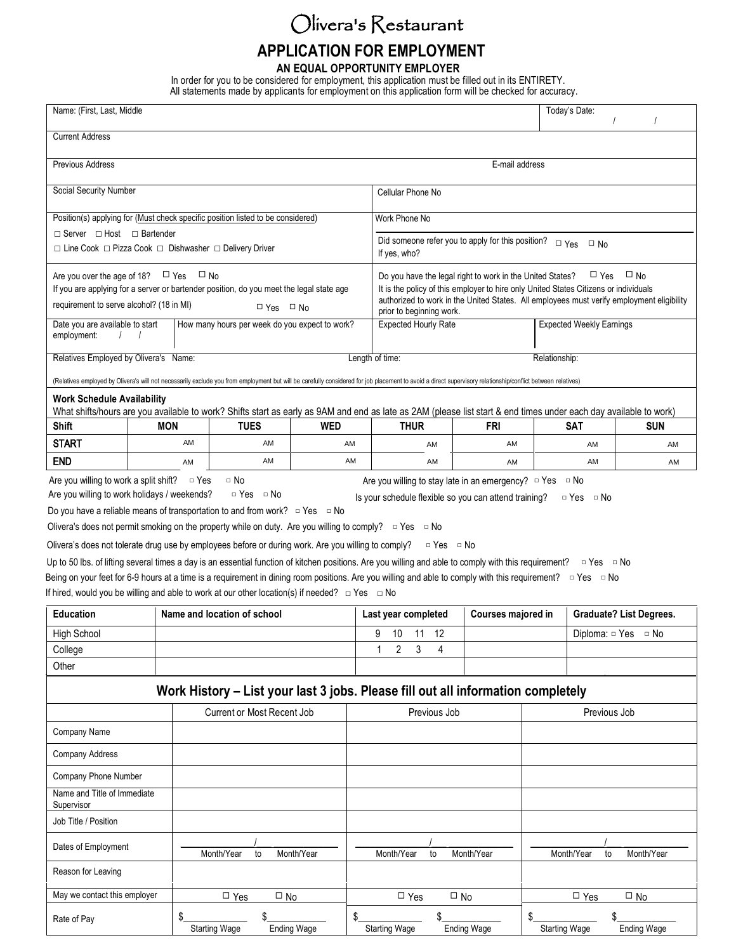## Olivera's Restaurant

## **APPLICATION FOR EMPLOYMENT**

**AN EQUAL OPPORTUNITY EMPLOYER**

In order for you to be considered for employment, this application must be filled out in its ENTIRETY. All statements made by applicants for employment on this application form will be checked for accuracy.

| Name: (First, Last, Middle                                                              |            |                                                                                                                                                                                                                                                                                                                                                                                                                                                                                                                                                              |                                                                                                                                                                                   |                             |                    | Today's Date:    |                                 |  |
|-----------------------------------------------------------------------------------------|------------|--------------------------------------------------------------------------------------------------------------------------------------------------------------------------------------------------------------------------------------------------------------------------------------------------------------------------------------------------------------------------------------------------------------------------------------------------------------------------------------------------------------------------------------------------------------|-----------------------------------------------------------------------------------------------------------------------------------------------------------------------------------|-----------------------------|--------------------|------------------|---------------------------------|--|
| <b>Current Address</b>                                                                  |            |                                                                                                                                                                                                                                                                                                                                                                                                                                                                                                                                                              |                                                                                                                                                                                   |                             |                    |                  |                                 |  |
| <b>Previous Address</b>                                                                 |            |                                                                                                                                                                                                                                                                                                                                                                                                                                                                                                                                                              |                                                                                                                                                                                   |                             | E-mail address     |                  |                                 |  |
| Social Security Number                                                                  |            |                                                                                                                                                                                                                                                                                                                                                                                                                                                                                                                                                              |                                                                                                                                                                                   | Cellular Phone No           |                    |                  |                                 |  |
| Position(s) applying for (Must check specific position listed to be considered)         |            |                                                                                                                                                                                                                                                                                                                                                                                                                                                                                                                                                              |                                                                                                                                                                                   | Work Phone No               |                    |                  |                                 |  |
| $\Box$ Server $\Box$ Host $\Box$ Bartender                                              |            |                                                                                                                                                                                                                                                                                                                                                                                                                                                                                                                                                              |                                                                                                                                                                                   |                             |                    |                  |                                 |  |
| □ Line Cook □ Pizza Cook □ Dishwasher □ Delivery Driver                                 |            |                                                                                                                                                                                                                                                                                                                                                                                                                                                                                                                                                              | Did someone refer you to apply for this position? $\Box$ Yes $\Box$ No<br>If yes, who?                                                                                            |                             |                    |                  |                                 |  |
| Are you over the age of 18? $\Box$ Yes<br>$\Box$ No                                     |            |                                                                                                                                                                                                                                                                                                                                                                                                                                                                                                                                                              | $\Box$ No<br>Do you have the legal right to work in the United States?<br>$\Box$ Yes                                                                                              |                             |                    |                  |                                 |  |
| If you are applying for a server or bartender position, do you meet the legal state age |            |                                                                                                                                                                                                                                                                                                                                                                                                                                                                                                                                                              | It is the policy of this employer to hire only United States Citizens or individuals<br>authorized to work in the United States. All employees must verify employment eligibility |                             |                    |                  |                                 |  |
| requirement to serve alcohol? (18 in MI)                                                |            | $\Box$ Yes $\Box$ No                                                                                                                                                                                                                                                                                                                                                                                                                                                                                                                                         |                                                                                                                                                                                   | prior to beginning work.    |                    |                  |                                 |  |
| Date you are available to start<br>employment:<br>$\prime$                              |            | How many hours per week do you expect to work?                                                                                                                                                                                                                                                                                                                                                                                                                                                                                                               |                                                                                                                                                                                   | <b>Expected Hourly Rate</b> |                    |                  | <b>Expected Weekly Earnings</b> |  |
| Relatives Employed by Olivera's Name:                                                   |            |                                                                                                                                                                                                                                                                                                                                                                                                                                                                                                                                                              |                                                                                                                                                                                   | Length of time:             |                    | Relationship:    |                                 |  |
|                                                                                         |            | (Relatives employed by Olivera's will not necessarily exclude you from employment but will be carefully considered for job placement to avoid a direct supervisory relationship/conflict between relatives)                                                                                                                                                                                                                                                                                                                                                  |                                                                                                                                                                                   |                             |                    |                  |                                 |  |
| <b>Work Schedule Availability</b>                                                       |            |                                                                                                                                                                                                                                                                                                                                                                                                                                                                                                                                                              |                                                                                                                                                                                   |                             |                    |                  |                                 |  |
|                                                                                         |            | What shifts/hours are you available to work? Shifts start as early as 9AM and end as late as 2AM (please list start & end times under each day available to work)                                                                                                                                                                                                                                                                                                                                                                                            |                                                                                                                                                                                   |                             |                    |                  |                                 |  |
| <b>Shift</b>                                                                            | <b>MON</b> | <b>TUES</b>                                                                                                                                                                                                                                                                                                                                                                                                                                                                                                                                                  | WED                                                                                                                                                                               | THUR                        | FRI                | SAT              | <b>SUN</b>                      |  |
| <b>START</b>                                                                            | AM         | AM                                                                                                                                                                                                                                                                                                                                                                                                                                                                                                                                                           | AM                                                                                                                                                                                | AM                          | AM                 | AM               | AM                              |  |
| <b>END</b>                                                                              | AM         | AM                                                                                                                                                                                                                                                                                                                                                                                                                                                                                                                                                           | AM                                                                                                                                                                                | AM                          | AM                 | AM               | AM                              |  |
|                                                                                         |            | Olivera's does not permit smoking on the property while on duty. Are you willing to comply? $\Box$ Yes $\Box$ No<br>Olivera's does not tolerate drug use by employees before or during work. Are you willing to comply?<br>Up to 50 lbs. of lifting several times a day is an essential function of kitchen positions. Are you willing and able to comply with this requirement?<br><br>Being on your feet for 6-9 hours at a time is a requirement in dining room positions. Are you willing and able to comply with this requirement? $\Box$ Yes $\Box$ No |                                                                                                                                                                                   | □ Yes □ No                  |                    |                  |                                 |  |
| <b>Education</b>                                                                        |            | If hired, would you be willing and able to work at our other location(s) if needed? $\Box$ Yes $\Box$ No                                                                                                                                                                                                                                                                                                                                                                                                                                                     |                                                                                                                                                                                   |                             |                    |                  |                                 |  |
|                                                                                         |            |                                                                                                                                                                                                                                                                                                                                                                                                                                                                                                                                                              |                                                                                                                                                                                   |                             |                    |                  |                                 |  |
| <b>High School</b><br>College                                                           |            | Name and location of school                                                                                                                                                                                                                                                                                                                                                                                                                                                                                                                                  |                                                                                                                                                                                   | Last year completed         | Courses majored in |                  | <b>Graduate? List Degrees.</b>  |  |
| Other                                                                                   |            |                                                                                                                                                                                                                                                                                                                                                                                                                                                                                                                                                              |                                                                                                                                                                                   | 9<br>12<br>10<br>11         |                    |                  | Diploma: $\Box$ Yes $\Box$ No   |  |
|                                                                                         |            |                                                                                                                                                                                                                                                                                                                                                                                                                                                                                                                                                              |                                                                                                                                                                                   | 2<br>3<br>1<br>4            |                    |                  |                                 |  |
|                                                                                         |            |                                                                                                                                                                                                                                                                                                                                                                                                                                                                                                                                                              |                                                                                                                                                                                   |                             |                    |                  |                                 |  |
|                                                                                         |            | Work History - List your last 3 jobs. Please fill out all information completely                                                                                                                                                                                                                                                                                                                                                                                                                                                                             |                                                                                                                                                                                   |                             |                    |                  |                                 |  |
| Company Name                                                                            |            | Current or Most Recent Job                                                                                                                                                                                                                                                                                                                                                                                                                                                                                                                                   |                                                                                                                                                                                   | Previous Job                |                    | Previous Job     |                                 |  |
| Company Address                                                                         |            |                                                                                                                                                                                                                                                                                                                                                                                                                                                                                                                                                              |                                                                                                                                                                                   |                             |                    |                  |                                 |  |
| Company Phone Number                                                                    |            |                                                                                                                                                                                                                                                                                                                                                                                                                                                                                                                                                              |                                                                                                                                                                                   |                             |                    |                  |                                 |  |
| Name and Title of Immediate<br>Supervisor                                               |            |                                                                                                                                                                                                                                                                                                                                                                                                                                                                                                                                                              |                                                                                                                                                                                   |                             |                    |                  |                                 |  |
| Job Title / Position                                                                    |            |                                                                                                                                                                                                                                                                                                                                                                                                                                                                                                                                                              |                                                                                                                                                                                   |                             |                    |                  |                                 |  |
| Dates of Employment                                                                     |            | Month/Year<br>to                                                                                                                                                                                                                                                                                                                                                                                                                                                                                                                                             | Month/Year                                                                                                                                                                        | Month/Year<br>to            | Month/Year         | Month/Year<br>to | Month/Year                      |  |
| Reason for Leaving                                                                      |            |                                                                                                                                                                                                                                                                                                                                                                                                                                                                                                                                                              |                                                                                                                                                                                   |                             |                    |                  |                                 |  |
| May we contact this employer                                                            |            | $\Box$ Yes<br>$\Box$ No                                                                                                                                                                                                                                                                                                                                                                                                                                                                                                                                      |                                                                                                                                                                                   | $\Box$ Yes                  | $\Box$ No          | $\Box$ Yes       | $\Box$ No                       |  |